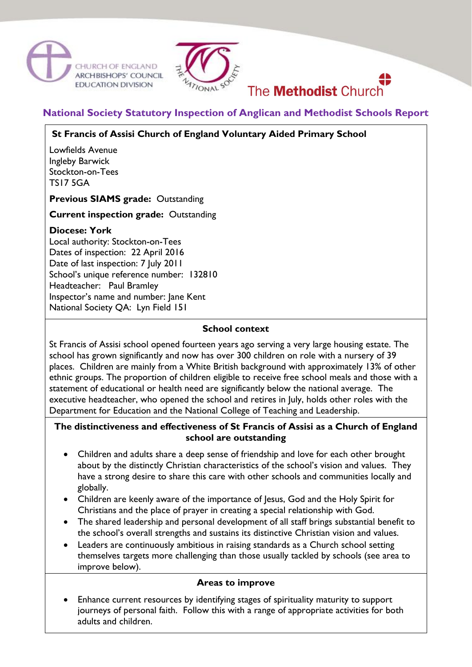



# **National Society Statutory Inspection of Anglican and Methodist Schools Report**

The **Methodist** Church

# **St Francis of Assisi Church of England Voluntary Aided Primary School**

Lowfields Avenue Ingleby Barwick Stockton-on-Tees TS17 5GA

**Previous SIAMS grade:** Outstanding

#### **Current inspection grade:** Outstanding

### **Diocese: York**

Local authority: Stockton-on-Tees Dates of inspection: 22 April 2016 Date of last inspection: 7 July 2011 School's unique reference number: 132810 Headteacher: Paul Bramley Inspector's name and number: Jane Kent National Society QA: Lyn Field 151

### **School context**

St Francis of Assisi school opened fourteen years ago serving a very large housing estate. The school has grown significantly and now has over 300 children on role with a nursery of 39 places. Children are mainly from a White British background with approximately 13% of other ethnic groups. The proportion of children eligible to receive free school meals and those with a statement of educational or health need are significantly below the national average. The executive headteacher, who opened the school and retires in July, holds other roles with the Department for Education and the National College of Teaching and Leadership.

### **The distinctiveness and effectiveness of St Francis of Assisi as a Church of England school are outstanding**

- Children and adults share a deep sense of friendship and love for each other brought about by the distinctly Christian characteristics of the school's vision and values. They have a strong desire to share this care with other schools and communities locally and globally.
- Children are keenly aware of the importance of Jesus, God and the Holy Spirit for Christians and the place of prayer in creating a special relationship with God.
- The shared leadership and personal development of all staff brings substantial benefit to the school's overall strengths and sustains its distinctive Christian vision and values.
- Leaders are continuously ambitious in raising standards as a Church school setting themselves targets more challenging than those usually tackled by schools (see area to improve below).

#### **Areas to improve**

 Enhance current resources by identifying stages of spirituality maturity to support journeys of personal faith. Follow this with a range of appropriate activities for both adults and children.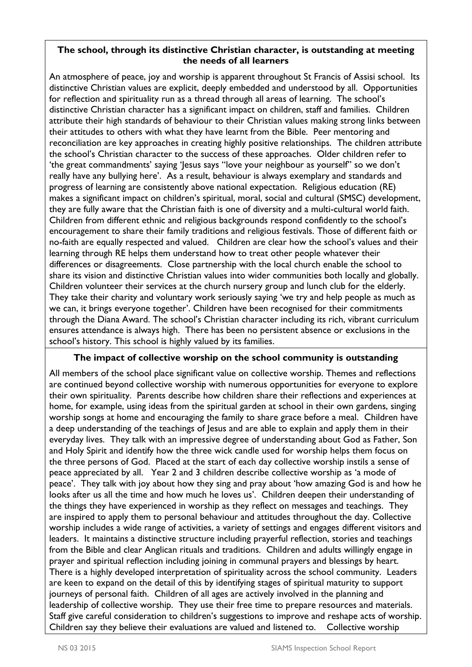### **The school, through its distinctive Christian character, is outstanding at meeting the needs of all learners**

An atmosphere of peace, joy and worship is apparent throughout St Francis of Assisi school. Its distinctive Christian values are explicit, deeply embedded and understood by all. Opportunities for reflection and spirituality run as a thread through all areas of learning. The school's distinctive Christian character has a significant impact on children, staff and families. Children attribute their high standards of behaviour to their Christian values making strong links between their attitudes to others with what they have learnt from the Bible. Peer mentoring and reconciliation are key approaches in creating highly positive relationships. The children attribute the school's Christian character to the success of these approaches. Older children refer to 'the great commandments' saying 'Jesus says "love your neighbour as yourself" so we don't really have any bullying here'. As a result, behaviour is always exemplary and standards and progress of learning are consistently above national expectation. Religious education (RE) makes a significant impact on children's spiritual, moral, social and cultural (SMSC) development, they are fully aware that the Christian faith is one of diversity and a multi-cultural world faith. Children from different ethnic and religious backgrounds respond confidently to the school's encouragement to share their family traditions and religious festivals. Those of different faith or no-faith are equally respected and valued. Children are clear how the school's values and their learning through RE helps them understand how to treat other people whatever their differences or disagreements. Close partnership with the local church enable the school to share its vision and distinctive Christian values into wider communities both locally and globally. Children volunteer their services at the church nursery group and lunch club for the elderly. They take their charity and voluntary work seriously saying 'we try and help people as much as we can, it brings everyone together'. Children have been recognised for their commitments through the Diana Award. The school's Christian character including its rich, vibrant curriculum ensures attendance is always high. There has been no persistent absence or exclusions in the school's history. This school is highly valued by its families.

# **The impact of collective worship on the school community is outstanding**

All members of the school place significant value on collective worship. Themes and reflections are continued beyond collective worship with numerous opportunities for everyone to explore their own spirituality. Parents describe how children share their reflections and experiences at home, for example, using ideas from the spiritual garden at school in their own gardens, singing worship songs at home and encouraging the family to share grace before a meal. Children have a deep understanding of the teachings of Jesus and are able to explain and apply them in their everyday lives. They talk with an impressive degree of understanding about God as Father, Son and Holy Spirit and identify how the three wick candle used for worship helps them focus on the three persons of God. Placed at the start of each day collective worship instils a sense of peace appreciated by all. Year 2 and 3 children describe collective worship as 'a mode of peace'. They talk with joy about how they sing and pray about 'how amazing God is and how he looks after us all the time and how much he loves us'. Children deepen their understanding of the things they have experienced in worship as they reflect on messages and teachings. They are inspired to apply them to personal behaviour and attitudes throughout the day. Collective worship includes a wide range of activities, a variety of settings and engages different visitors and leaders. It maintains a distinctive structure including prayerful reflection, stories and teachings from the Bible and clear Anglican rituals and traditions. Children and adults willingly engage in prayer and spiritual reflection including joining in communal prayers and blessings by heart. There is a highly developed interpretation of spirituality across the school community. Leaders are keen to expand on the detail of this by identifying stages of spiritual maturity to support journeys of personal faith. Children of all ages are actively involved in the planning and leadership of collective worship. They use their free time to prepare resources and materials. Staff give careful consideration to children's suggestions to improve and reshape acts of worship. Children say they believe their evaluations are valued and listened to. Collective worship